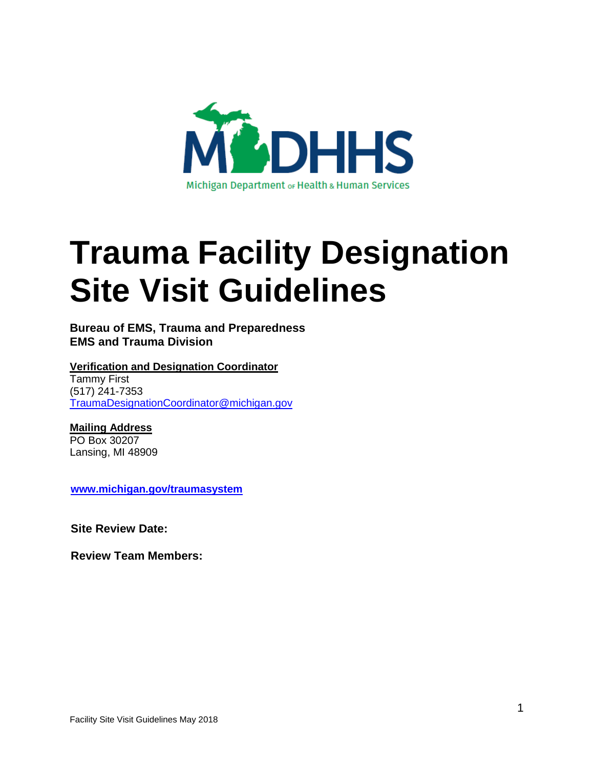

# **Trauma Facility Designation Site Visit Guidelines**

#### **Bureau of EMS, Trauma and Preparedness EMS and Trauma Division**

#### **Verification and Designation Coordinator** Tammy First

(517) 241-7353 [TraumaDesignationCoordinator@michigan.gov](mailto:TraumaDesignationCoordinator@michigan.gov)

# **Mailing Address**

PO Box 30207 Lansing, MI 48909

**[www.michigan.gov/traumasystem](http://www.michigan.gov/traumasystem)**

**Site Review Date:**

**Review Team Members:**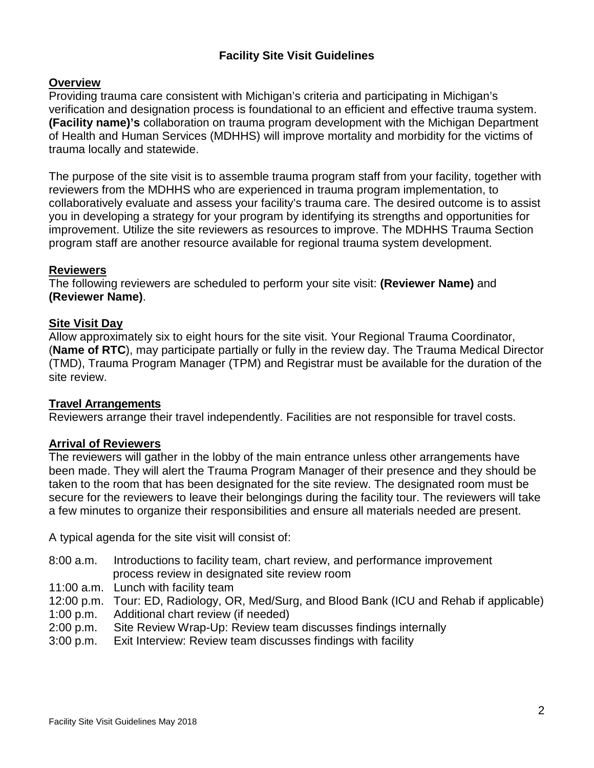#### **Facility Site Visit Guidelines**

#### **Overview**

Providing trauma care consistent with Michigan's criteria and participating in Michigan's verification and designation process is foundational to an efficient and effective trauma system. **(Facility name)'s** collaboration on trauma program development with the Michigan Department of Health and Human Services (MDHHS) will improve mortality and morbidity for the victims of trauma locally and statewide.

The purpose of the site visit is to assemble trauma program staff from your facility, together with reviewers from the MDHHS who are experienced in trauma program implementation, to collaboratively evaluate and assess your facility's trauma care. The desired outcome is to assist you in developing a strategy for your program by identifying its strengths and opportunities for improvement. Utilize the site reviewers as resources to improve. The MDHHS Trauma Section program staff are another resource available for regional trauma system development.

#### **Reviewers**

The following reviewers are scheduled to perform your site visit: **(Reviewer Name)** and **(Reviewer Name)**.

#### **Site Visit Day**

Allow approximately six to eight hours for the site visit. Your Regional Trauma Coordinator, (**Name of RTC**), may participate partially or fully in the review day. The Trauma Medical Director (TMD), Trauma Program Manager (TPM) and Registrar must be available for the duration of the site review.

#### **Travel Arrangements**

Reviewers arrange their travel independently. Facilities are not responsible for travel costs.

#### **Arrival of Reviewers**

The reviewers will gather in the lobby of the main entrance unless other arrangements have been made. They will alert the Trauma Program Manager of their presence and they should be taken to the room that has been designated for the site review. The designated room must be secure for the reviewers to leave their belongings during the facility tour. The reviewers will take a few minutes to organize their responsibilities and ensure all materials needed are present.

A typical agenda for the site visit will consist of:

- 8:00 a.m. Introductions to facility team, chart review, and performance improvement process review in designated site review room
- 11:00 a.m. Lunch with facility team
- 12:00 p.m. Tour: ED, Radiology, OR, Med/Surg, and Blood Bank (ICU and Rehab if applicable)
- 1:00 p.m. Additional chart review (if needed)
- 2:00 p.m. Site Review Wrap-Up: Review team discusses findings internally
- 3:00 p.m. Exit Interview: Review team discusses findings with facility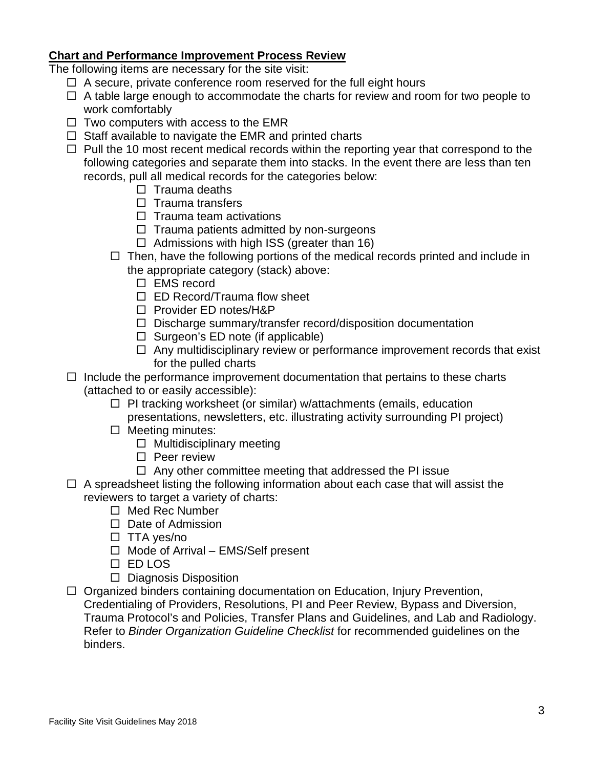#### **Chart and Performance Improvement Process Review**

The following items are necessary for the site visit:

- $\Box$  A secure, private conference room reserved for the full eight hours
- $\Box$  A table large enough to accommodate the charts for review and room for two people to work comfortably
- $\Box$  Two computers with access to the EMR
- $\Box$  Staff available to navigate the EMR and printed charts
- $\Box$  Pull the 10 most recent medical records within the reporting year that correspond to the following categories and separate them into stacks. In the event there are less than ten records, pull all medical records for the categories below:
	- $\Box$  Trauma deaths
	- $\Box$  Trauma transfers
	- $\Box$  Trauma team activations
	- $\Box$  Trauma patients admitted by non-surgeons
	- $\Box$  Admissions with high ISS (greater than 16)
	- $\Box$  Then, have the following portions of the medical records printed and include in the appropriate category (stack) above:
		- □ EMS record
		- □ ED Record/Trauma flow sheet
		- □ Provider ED notes/H&P
		- $\Box$  Discharge summary/transfer record/disposition documentation
		- $\Box$  Surgeon's ED note (if applicable)
		- $\Box$  Any multidisciplinary review or performance improvement records that exist for the pulled charts
- $\Box$  Include the performance improvement documentation that pertains to these charts (attached to or easily accessible):
	- $\Box$  PI tracking worksheet (or similar) w/attachments (emails, education presentations, newsletters, etc. illustrating activity surrounding PI project)
	- $\Box$  Meeting minutes:
		- $\Box$  Multidisciplinary meeting
		- $\square$  Peer review
		- $\Box$  Any other committee meeting that addressed the PI issue
- $\Box$  A spreadsheet listing the following information about each case that will assist the reviewers to target a variety of charts:
	- $\Box$  Med Rec Number
	- $\Box$  Date of Admission
	- $\Box$  TTA yes/no
	- $\Box$  Mode of Arrival EMS/Self present
	- ED LOS
	- $\Box$  Diagnosis Disposition
- $\Box$  Organized binders containing documentation on Education, Injury Prevention, Credentialing of Providers, Resolutions, PI and Peer Review, Bypass and Diversion, Trauma Protocol's and Policies, Transfer Plans and Guidelines, and Lab and Radiology. Refer to *Binder Organization Guideline Checklist* for recommended guidelines on the binders.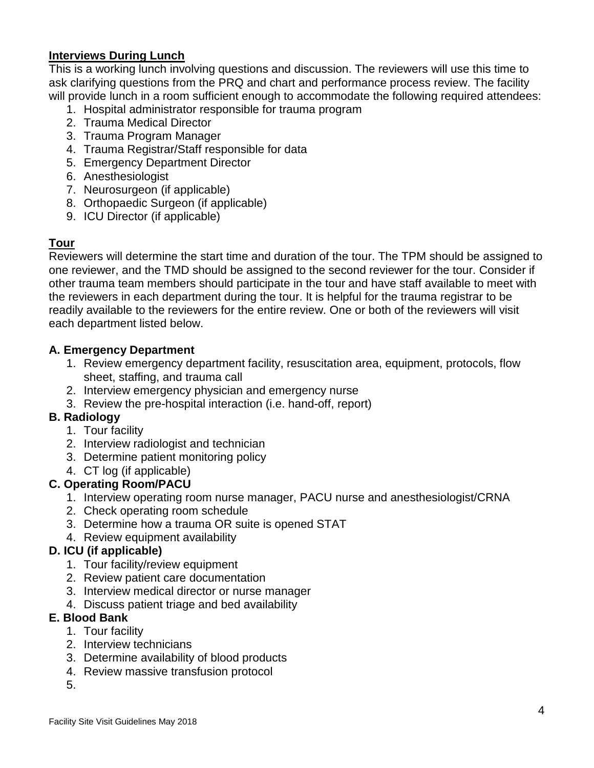#### **Interviews During Lunch**

This is a working lunch involving questions and discussion. The reviewers will use this time to ask clarifying questions from the PRQ and chart and performance process review. The facility will provide lunch in a room sufficient enough to accommodate the following required attendees:

- 1. Hospital administrator responsible for trauma program
- 2. Trauma Medical Director
- 3. Trauma Program Manager
- 4. Trauma Registrar/Staff responsible for data
- 5. Emergency Department Director
- 6. Anesthesiologist
- 7. Neurosurgeon (if applicable)
- 8. Orthopaedic Surgeon (if applicable)
- 9. ICU Director (if applicable)

# **Tour**

Reviewers will determine the start time and duration of the tour. The TPM should be assigned to one reviewer, and the TMD should be assigned to the second reviewer for the tour. Consider if other trauma team members should participate in the tour and have staff available to meet with the reviewers in each department during the tour. It is helpful for the trauma registrar to be readily available to the reviewers for the entire review. One or both of the reviewers will visit each department listed below.

#### **A. Emergency Department**

- 1. Review emergency department facility, resuscitation area, equipment, protocols, flow sheet, staffing, and trauma call
- 2. Interview emergency physician and emergency nurse
- 3. Review the pre-hospital interaction (i.e. hand-off, report)

# **B. Radiology**

- 1. Tour facility
- 2. Interview radiologist and technician
- 3. Determine patient monitoring policy
- 4. CT log (if applicable)

# **C. Operating Room/PACU**

- 1. Interview operating room nurse manager, PACU nurse and anesthesiologist/CRNA
- 2. Check operating room schedule
- 3. Determine how a trauma OR suite is opened STAT
- 4. Review equipment availability

# **D. ICU (if applicable)**

- 1. Tour facility/review equipment
- 2. Review patient care documentation
- 3. Interview medical director or nurse manager
- 4. Discuss patient triage and bed availability

# **E. Blood Bank**

- 1. Tour facility
- 2. Interview technicians
- 3. Determine availability of blood products
- 4. Review massive transfusion protocol
- 5.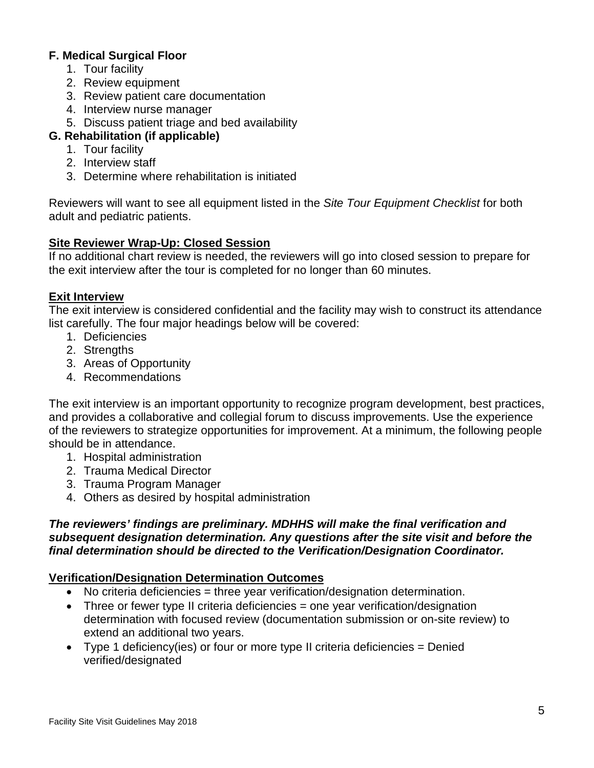#### **F. Medical Surgical Floor**

- 1. Tour facility
- 2. Review equipment
- 3. Review patient care documentation
- 4. Interview nurse manager
- 5. Discuss patient triage and bed availability

# **G. Rehabilitation (if applicable)**

- 1. Tour facility
- 2. Interview staff
- 3. Determine where rehabilitation is initiated

Reviewers will want to see all equipment listed in the *Site Tour Equipment Checklist* for both adult and pediatric patients.

#### **Site Reviewer Wrap-Up: Closed Session**

If no additional chart review is needed, the reviewers will go into closed session to prepare for the exit interview after the tour is completed for no longer than 60 minutes.

#### **Exit Interview**

The exit interview is considered confidential and the facility may wish to construct its attendance list carefully. The four major headings below will be covered:

- 1. Deficiencies
- 2. Strengths
- 3. Areas of Opportunity
- 4. Recommendations

The exit interview is an important opportunity to recognize program development, best practices, and provides a collaborative and collegial forum to discuss improvements. Use the experience of the reviewers to strategize opportunities for improvement. At a minimum, the following people should be in attendance.

- 1. Hospital administration
- 2. Trauma Medical Director
- 3. Trauma Program Manager
- 4. Others as desired by hospital administration

#### *The reviewers' findings are preliminary. MDHHS will make the final verification and subsequent designation determination. Any questions after the site visit and before the final determination should be directed to the Verification/Designation Coordinator.*

# **Verification/Designation Determination Outcomes**

- No criteria deficiencies = three year verification/designation determination.
- Three or fewer type II criteria deficiencies = one year verification/designation determination with focused review (documentation submission or on-site review) to extend an additional two years.
- Type 1 deficiency(ies) or four or more type II criteria deficiencies = Denied verified/designated